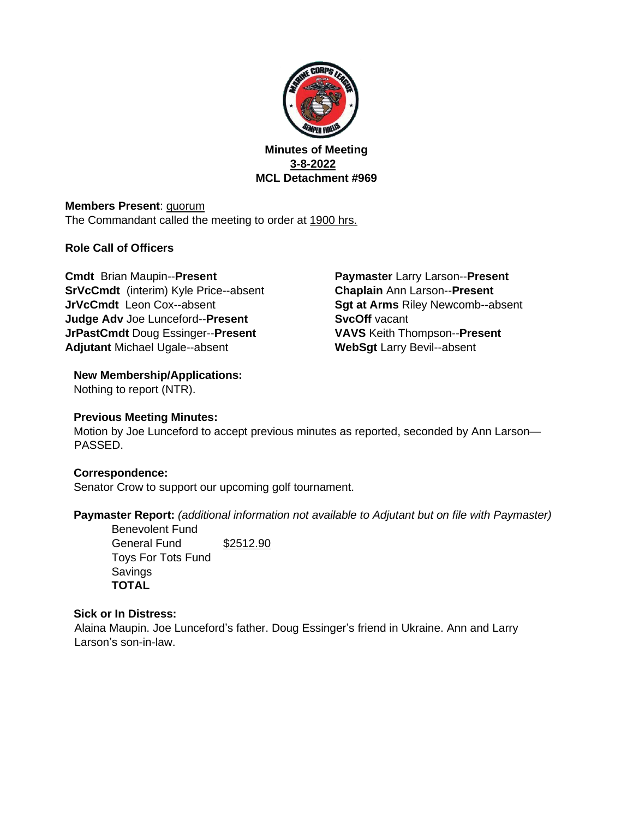

**Minutes of Meeting 3-8-2022 MCL Detachment #969** 

**Members Present**: quorum The Commandant called the meeting to order at 1900 hrs.

# **Role Call of Officers**

**Cmdt** Brian Maupin--**Present SrVcCmdt** (interim) Kyle Price--absent **JrVcCmdt** Leon Cox--absent **Judge Adv** Joe Lunceford--**Present JrPastCmdt** Doug Essinger--**Present Adjutant** Michael Ugale--absent

**Paymaster** Larry Larson--**Present Chaplain** Ann Larson--**Present Sgt at Arms** Riley Newcomb--absent **SvcOff** vacant **VAVS** Keith Thompson--**Present WebSgt** Larry Bevil--absent

# **New Membership/Applications:**

Nothing to report (NTR).

# **Previous Meeting Minutes:**

Motion by Joe Lunceford to accept previous minutes as reported, seconded by Ann Larson— PASSED.

# **Correspondence:**

Senator Crow to support our upcoming golf tournament.

**Paymaster Report:** *(additional information not available to Adjutant but on file with Paymaster)*

Benevolent Fund General Fund \$2512.90 Toys For Tots Fund **Savings TOTAL** 

### **Sick or In Distress:**

Alaina Maupin. Joe Lunceford's father. Doug Essinger's friend in Ukraine. Ann and Larry Larson's son-in-law.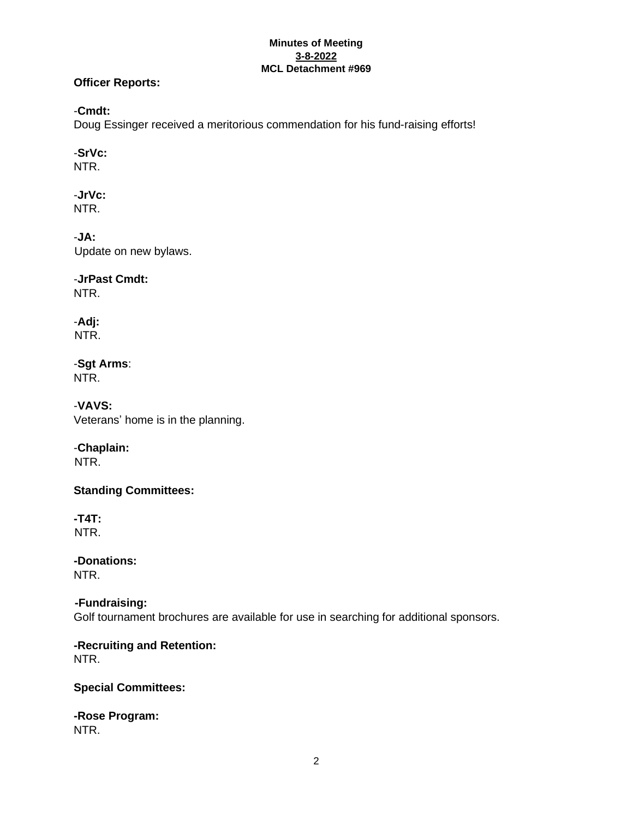#### **Minutes of Meeting 3-8-2022 MCL Detachment #969**

## **Officer Reports:**

## -**Cmdt:**

Doug Essinger received a meritorious commendation for his fund-raising efforts!

# -**SrVc:**

NTR.

-**JrVc:** NTR.

-**JA:** Update on new bylaws.

-**JrPast Cmdt:** NTR.

-**Adj:** NTR.

-**Sgt Arms**: NTR.

-**VAVS:** Veterans' home is in the planning.

# -**Chaplain:**

NTR.

**Standing Committees:** 

**-T4T:**  NTR.

**-Donations:**  NTR.

 **-Fundraising:** Golf tournament brochures are available for use in searching for additional sponsors.

**-Recruiting and Retention:**  NTR.

# **Special Committees:**

**-Rose Program:**  NTR.